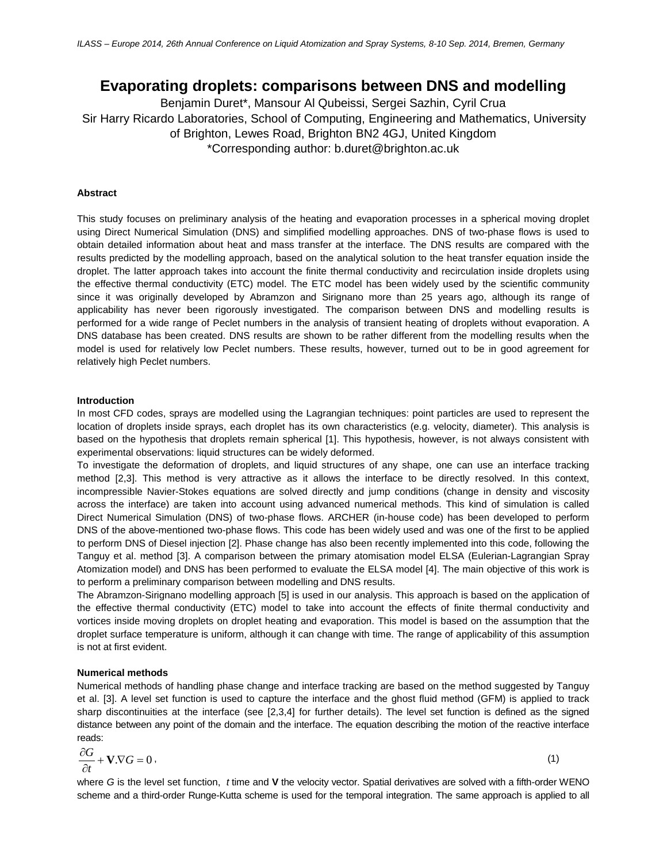# **Evaporating droplets: comparisons between DNS and modelling**

Benjamin Duret\*, Mansour Al Qubeissi, Sergei Sazhin, Cyril Crua Sir Harry Ricardo Laboratories, School of Computing, Engineering and Mathematics, University of Brighton, Lewes Road, Brighton BN2 4GJ, United Kingdom \*Corresponding author: b.duret@brighton.ac.uk

## **Abstract**

This study focuses on preliminary analysis of the heating and evaporation processes in a spherical moving droplet using Direct Numerical Simulation (DNS) and simplified modelling approaches. DNS of two-phase flows is used to obtain detailed information about heat and mass transfer at the interface. The DNS results are compared with the results predicted by the modelling approach, based on the analytical solution to the heat transfer equation inside the droplet. The latter approach takes into account the finite thermal conductivity and recirculation inside droplets using the effective thermal conductivity (ETC) model. The ETC model has been widely used by the scientific community since it was originally developed by Abramzon and Sirignano more than 25 years ago, although its range of applicability has never been rigorously investigated. The comparison between DNS and modelling results is performed for a wide range of Peclet numbers in the analysis of transient heating of droplets without evaporation. A DNS database has been created. DNS results are shown to be rather different from the modelling results when the model is used for relatively low Peclet numbers. These results, however, turned out to be in good agreement for relatively high Peclet numbers.

## **Introduction**

In most CFD codes, sprays are modelled using the Lagrangian techniques: point particles are used to represent the location of droplets inside sprays, each droplet has its own characteristics (e.g. velocity, diameter). This analysis is based on the hypothesis that droplets remain spherical [1]. This hypothesis, however, is not always consistent with experimental observations: liquid structures can be widely deformed.

To investigate the deformation of droplets, and liquid structures of any shape, one can use an interface tracking method [2,3]. This method is very attractive as it allows the interface to be directly resolved. In this context, incompressible Navier-Stokes equations are solved directly and jump conditions (change in density and viscosity across the interface) are taken into account using advanced numerical methods. This kind of simulation is called Direct Numerical Simulation (DNS) of two-phase flows. ARCHER (in-house code) has been developed to perform DNS of the above-mentioned two-phase flows. This code has been widely used and was one of the first to be applied to perform DNS of Diesel injection [2]. Phase change has also been recently implemented into this code, following the Tanguy et al. method [3]. A comparison between the primary atomisation model ELSA (Eulerian-Lagrangian Spray Atomization model) and DNS has been performed to evaluate the ELSA model [4]. The main objective of this work is to perform a preliminary comparison between modelling and DNS results.

The Abramzon-Sirignano modelling approach [5] is used in our analysis. This approach is based on the application of the effective thermal conductivity (ETC) model to take into account the effects of finite thermal conductivity and vortices inside moving droplets on droplet heating and evaporation. This model is based on the assumption that the droplet surface temperature is uniform, although it can change with time. The range of applicability of this assumption is not at first evident.

### **Numerical methods**

Numerical methods of handling phase change and interface tracking are based on the method suggested by Tanguy et al. [3]. A level set function is used to capture the interface and the ghost fluid method (GFM) is applied to track sharp discontinuities at the interface (see [2,3,4] for further details). The level set function is defined as the signed distance between any point of the domain and the interface. The equation describing the motion of the reactive interface reads:

$$
\frac{\partial G}{\partial t} + \mathbf{V}.\nabla G = 0\,,\tag{1}
$$

where G is the level set function, t time and **V** the velocity vector. Spatial derivatives are solved with a fifth-order WENO scheme and a third-order Runge-Kutta scheme is used for the temporal integration. The same approach is applied to all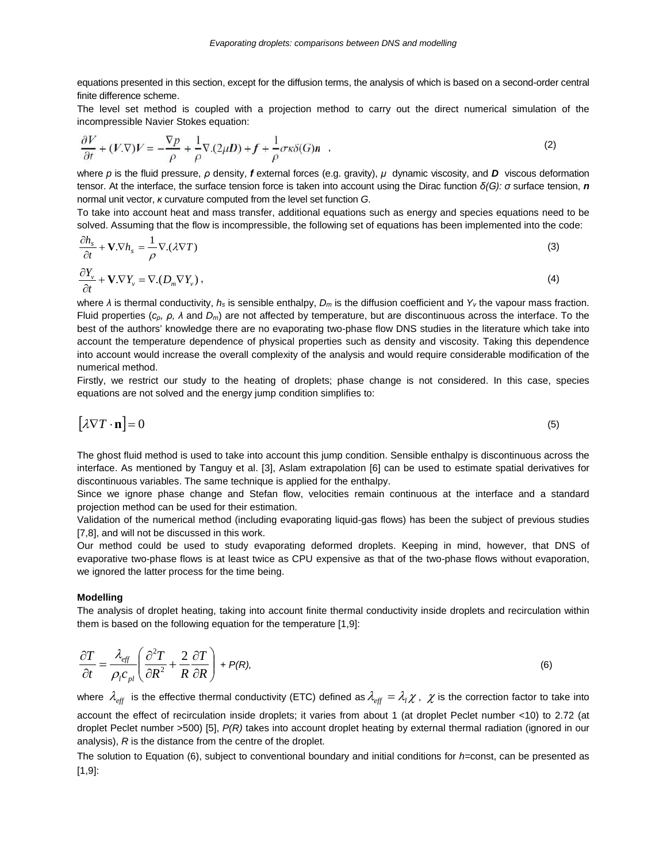equations presented in this section, except for the diffusion terms, the analysis of which is based on a second-order central finite difference scheme.

The level set method is coupled with a projection method to carry out the direct numerical simulation of the incompressible Navier Stokes equation:

$$
\frac{\partial V}{\partial t} + (V.\nabla)V = -\frac{\nabla p}{\rho} + \frac{1}{\rho}\nabla.(2\mu D) + f + \frac{1}{\rho}\sigma\kappa\delta(G)n \quad , \tag{2}
$$

where p is the fluid pressure, *ρ* density, **f** external forces (e.g. gravity), *μ* dynamic viscosity, and **D** viscous deformation tensor. At the interface, the surface tension force is taken into account using the Dirac function *δ(G): σ* surface tension, **n** normal unit vector, *κ* curvature computed from the level set function G.

To take into account heat and mass transfer, additional equations such as energy and species equations need to be solved. Assuming that the flow is incompressible, the following set of equations has been implemented into the code:

$$
\frac{\partial h_s}{\partial t} + \mathbf{V} . \nabla h_s = \frac{1}{\rho} \nabla . (\lambda \nabla T)
$$
\n
$$
\frac{\partial Y_v}{\partial t} + \mathbf{V} . \nabla Y_v = \nabla . (D_m \nabla Y_v),
$$
\n(4)

where  $\lambda$  is thermal conductivity,  $h_s$  is sensible enthalpy,  $D_m$  is the diffusion coefficient and  $Y_v$  the vapour mass fraction. Fluid properties ( $c_p$ ,  $ρ$ ,  $λ$  and  $D_m$ ) are not affected by temperature, but are discontinuous across the interface. To the best of the authors' knowledge there are no evaporating two-phase flow DNS studies in the literature which take into account the temperature dependence of physical properties such as density and viscosity. Taking this dependence into account would increase the overall complexity of the analysis and would require considerable modification of the numerical method.

Firstly, we restrict our study to the heating of droplets; phase change is not considered. In this case, species equations are not solved and the energy jump condition simplifies to:

$$
[\lambda \nabla T \cdot \mathbf{n}] = 0 \tag{5}
$$

The ghost fluid method is used to take into account this jump condition. Sensible enthalpy is discontinuous across the interface. As mentioned by Tanguy et al. [3], Aslam extrapolation [6] can be used to estimate spatial derivatives for discontinuous variables. The same technique is applied for the enthalpy.

Since we ignore phase change and Stefan flow, velocities remain continuous at the interface and a standard projection method can be used for their estimation.

Validation of the numerical method (including evaporating liquid-gas flows) has been the subject of previous studies [7,8], and will not be discussed in this work.

Our method could be used to study evaporating deformed droplets. Keeping in mind, however, that DNS of evaporative two-phase flows is at least twice as CPU expensive as that of the two-phase flows without evaporation, we ignored the latter process for the time being.

# **Modelling**

∂*t* 

The analysis of droplet heating, taking into account finite thermal conductivity inside droplets and recirculation within them is based on the following equation for the temperature [1,9]:

$$
\frac{\partial T}{\partial t} = \frac{\lambda_{\text{eff}}}{\rho_l c_{pl}} \left( \frac{\partial^2 T}{\partial R^2} + \frac{2}{R} \frac{\partial T}{\partial R} \right) + P(R),\tag{6}
$$

where  $\lambda_{eff}$  is the effective thermal conductivity (ETC) defined as  $\lambda_{eff}=\lambda_l\chi$ ,  $\chi$  is the correction factor to take into account the effect of recirculation inside droplets; it varies from about 1 (at droplet Peclet number <10) to 2.72 (at droplet Peclet number >500) [5], P(R) takes into account droplet heating by external thermal radiation (ignored in our analysis), R is the distance from the centre of the droplet.

The solution to Equation (6), subject to conventional boundary and initial conditions for  $h=$ const, can be presented as  $[1, 9]$ :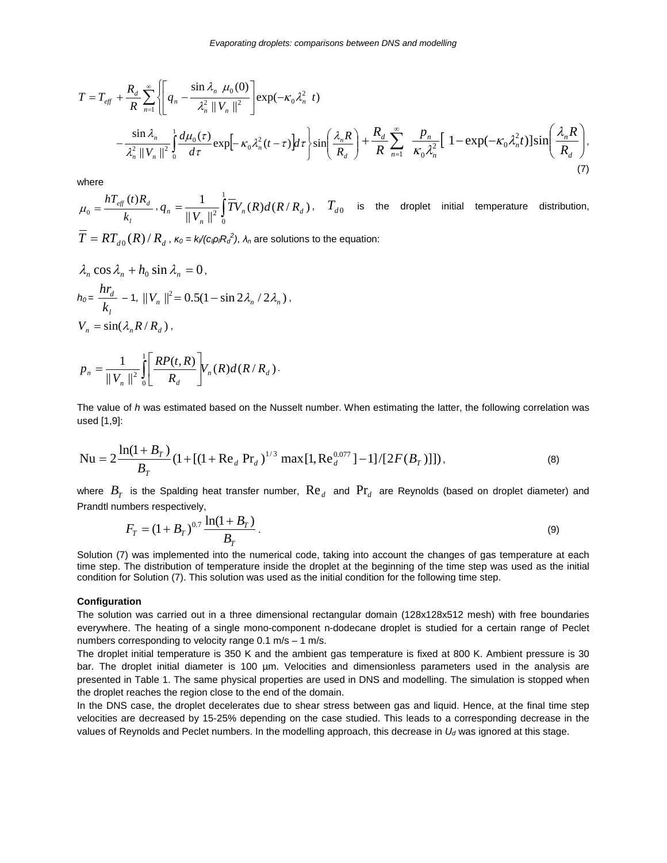$$
T = T_{\text{eff}} + \frac{R_d}{R} \sum_{n=1}^{\infty} \left\{ \left[ q_n - \frac{\sin \lambda_n \mu_0(0)}{\lambda_n^2 ||V_n||^2} \right] \exp(-\kappa_0 \lambda_n^2 t) - \frac{\sin \lambda_n}{\lambda_n^2 ||V_n||^2} \int_0^1 \frac{d\mu_0(\tau)}{d\tau} \exp[-\kappa_0 \lambda_n^2(t-\tau)] d\tau \right\} \sin\left(\frac{\lambda_n R}{R_d}\right) + \frac{R_d}{R} \sum_{n=1}^{\infty} \frac{p_n}{\kappa_0 \lambda_n^2} \left[ 1 - \exp(-\kappa_0 \lambda_n^2 t) \right] \sin\left(\frac{\lambda_n R}{R_d}\right), \tag{7}
$$

where

*l*  $_{eff}$   $\vee$   $\vee$   $\vee$   $\vee$ *k*  $\mu_{0} = \frac{hT_{\textit{eff}}\left(t\right)R_{d}}{k}$  ,  $q_{n} = \frac{1}{\mid\mid V \mid \mid^{2}}\int$ 1 0  $\frac{1}{2}$   $TV_n(R)d(R/R_d)$  $||V_{n}||$ 1  $n^{(H)}$   $\mu^{(H)}$ *n*  $q_n = \frac{1}{\|V_n\|^2} \int_0^T \overline{IV}_n(R) d(R/R_d)$ ,  $T_{d0}$  is the droplet initial temperature distribution,  $T = RT_{d0}(R)/R_d$  , *κ<sub>0</sub>* = *kl*/(cρ/R $_d^2$ ),  $\lambda_n$  are solutions to the equation:

$$
\lambda_n \cos \lambda_n + h_0 \sin \lambda_n = 0,
$$
  
\n
$$
h_0 = \frac{hr_d}{k_l} - 1, ||V_n||^2 = 0.5(1 - \sin 2\lambda_n / 2\lambda_n),
$$
  
\n
$$
V_n = \sin(\lambda_n R / R_d),
$$

$$
p_n = \frac{1}{\|V_n\|^2} \int_0^1 \frac{RP(t, R)}{R_d} \Bigg| V_n(R) d(R/R_d).
$$

The value of h was estimated based on the Nusselt number. When estimating the latter, the following correlation was used [1,9]:

$$
Nu = 2\frac{ln(1 + B_T)}{B_T} (1 + [(1 + Re_d Pr_d)^{1/3} max[1, Re_d^{0.077}] - 1]/[2F(B_T)]],
$$
\n(8)

where  $B_{\tau}$  is the Spalding heat transfer number,  $\text{Re}_{d}$  and  $\text{Pr}_{d}$  are Reynolds (based on droplet diameter) and Prandtl numbers respectively,

$$
F_T = (1 + B_T)^{0.7} \frac{\ln(1 + B_T)}{B_T} \,. \tag{9}
$$

Solution (7) was implemented into the numerical code, taking into account the changes of gas temperature at each time step. The distribution of temperature inside the droplet at the beginning of the time step was used as the initial condition for Solution (7). This solution was used as the initial condition for the following time step.

## **Configuration**

The solution was carried out in a three dimensional rectangular domain (128x128x512 mesh) with free boundaries everywhere. The heating of a single mono-component n-dodecane droplet is studied for a certain range of Peclet numbers corresponding to velocity range 0.1 m/s – 1 m/s.

The droplet initial temperature is 350 K and the ambient gas temperature is fixed at 800 K. Ambient pressure is 30 bar. The droplet initial diameter is 100 µm. Velocities and dimensionless parameters used in the analysis are presented in Table 1. The same physical properties are used in DNS and modelling. The simulation is stopped when the droplet reaches the region close to the end of the domain.

In the DNS case, the droplet decelerates due to shear stress between gas and liquid. Hence, at the final time step velocities are decreased by 15-25% depending on the case studied. This leads to a corresponding decrease in the values of Reynolds and Peclet numbers. In the modelling approach, this decrease in  $U_d$  was ignored at this stage.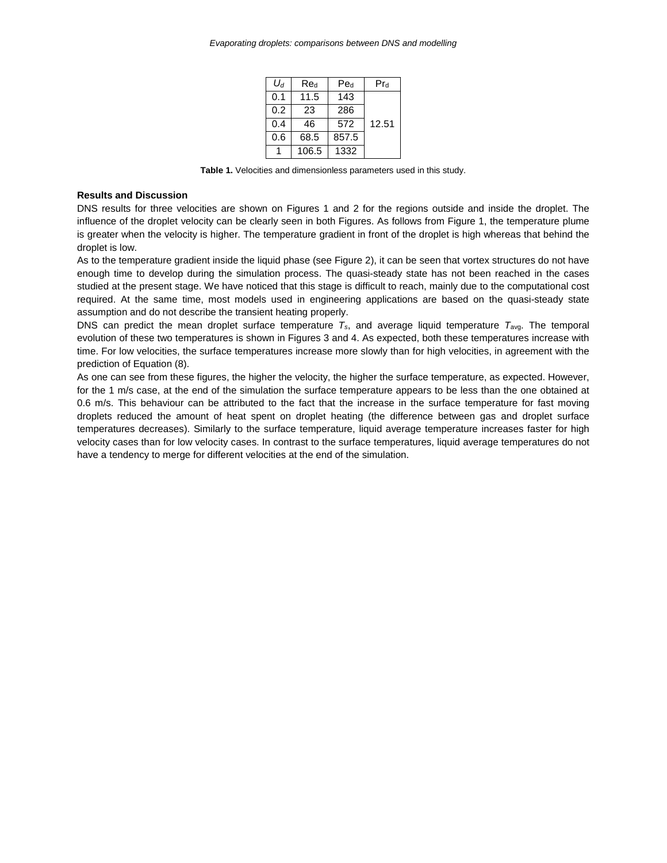|  | $U_d$ | Re <sub>d</sub> | Pe <sub>d</sub> | $Pr_{d}$ |
|--|-------|-----------------|-----------------|----------|
|  | 0.1   | 11.5            | 143             |          |
|  | 0.2   | 23              | 286             |          |
|  | 0.4   | 46              | 572             | 12.51    |
|  | 0.6   | 68.5            | 857.5           |          |
|  |       | 106.5           | 1332            |          |

**Table 1.** Velocities and dimensionless parameters used in this study.

## **Results and Discussion**

DNS results for three velocities are shown on Figures 1 and 2 for the regions outside and inside the droplet. The influence of the droplet velocity can be clearly seen in both Figures. As follows from Figure 1, the temperature plume is greater when the velocity is higher. The temperature gradient in front of the droplet is high whereas that behind the droplet is low.

As to the temperature gradient inside the liquid phase (see Figure 2), it can be seen that vortex structures do not have enough time to develop during the simulation process. The quasi-steady state has not been reached in the cases studied at the present stage. We have noticed that this stage is difficult to reach, mainly due to the computational cost required. At the same time, most models used in engineering applications are based on the quasi-steady state assumption and do not describe the transient heating properly.

DNS can predict the mean droplet surface temperature  $T_s$ , and average liquid temperature  $T_{avg}$ . The temporal evolution of these two temperatures is shown in Figures 3 and 4. As expected, both these temperatures increase with time. For low velocities, the surface temperatures increase more slowly than for high velocities, in agreement with the prediction of Equation (8).

As one can see from these figures, the higher the velocity, the higher the surface temperature, as expected. However, for the 1 m/s case, at the end of the simulation the surface temperature appears to be less than the one obtained at 0.6 m/s. This behaviour can be attributed to the fact that the increase in the surface temperature for fast moving droplets reduced the amount of heat spent on droplet heating (the difference between gas and droplet surface temperatures decreases). Similarly to the surface temperature, liquid average temperature increases faster for high velocity cases than for low velocity cases. In contrast to the surface temperatures, liquid average temperatures do not have a tendency to merge for different velocities at the end of the simulation.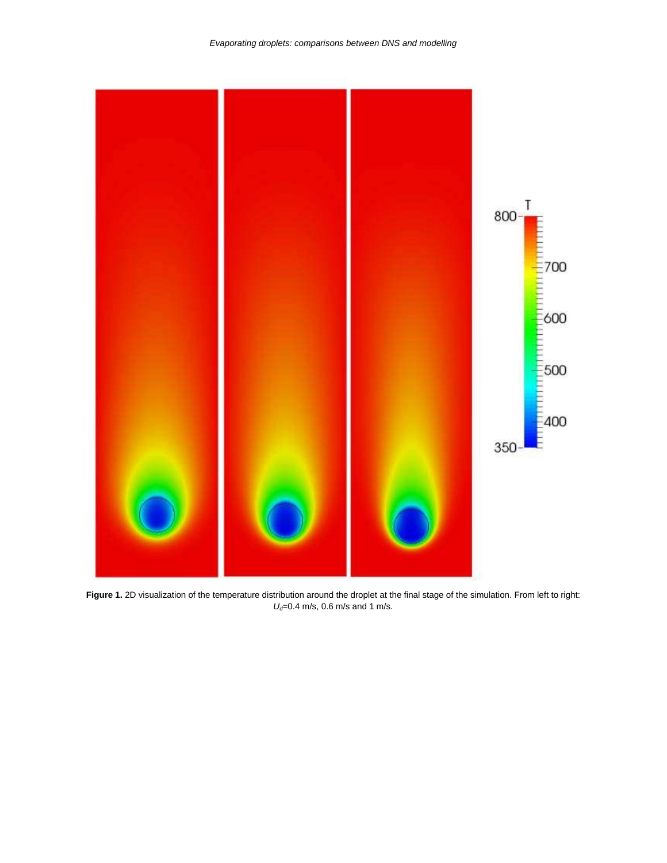

**Figure 1.** 2D visualization of the temperature distribution around the droplet at the final stage of the simulation. From left to right:  $U_d$ =0.4 m/s, 0.6 m/s and 1 m/s.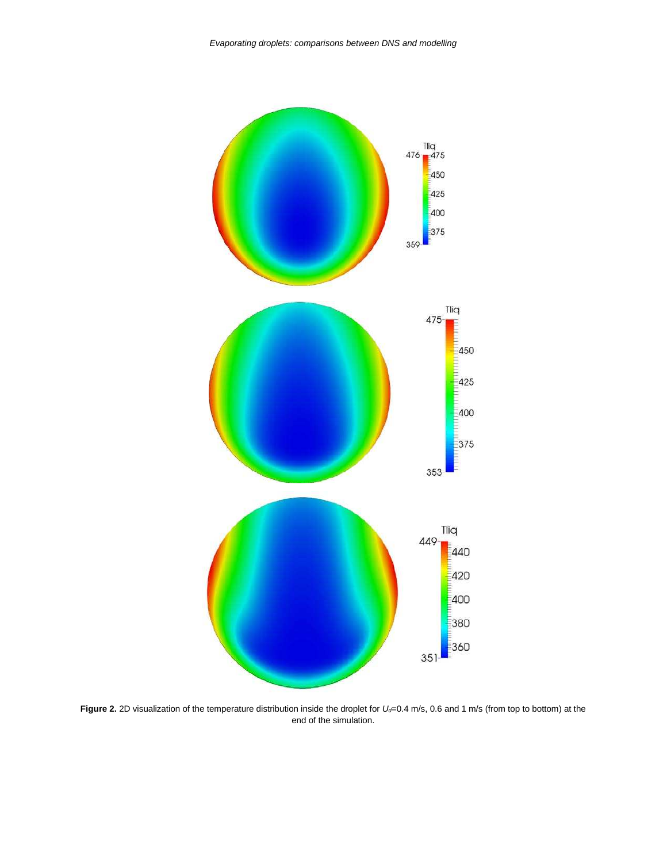

Figure 2. 2D visualization of the temperature distribution inside the droplet for U<sub>d</sub>=0.4 m/s, 0.6 and 1 m/s (from top to bottom) at the end of the simulation.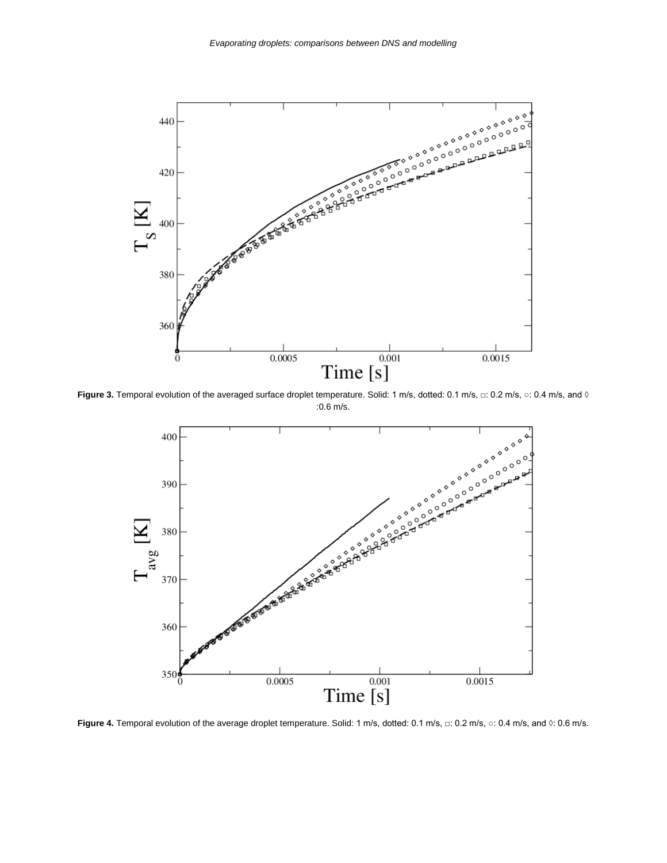

Figure 3. Temporal evolution of the averaged surface droplet temperature. Solid: 1 m/s, dotted: 0.1 m/s, □: 0.2 m/s, ○: 0.4 m/s, and 0 :0.6 m/s.



Figure 4. Temporal evolution of the average droplet temperature. Solid: 1 m/s, dotted: 0.1 m/s, □: 0.2 m/s, ○: 0.4 m/s, and 0: 0.6 m/s.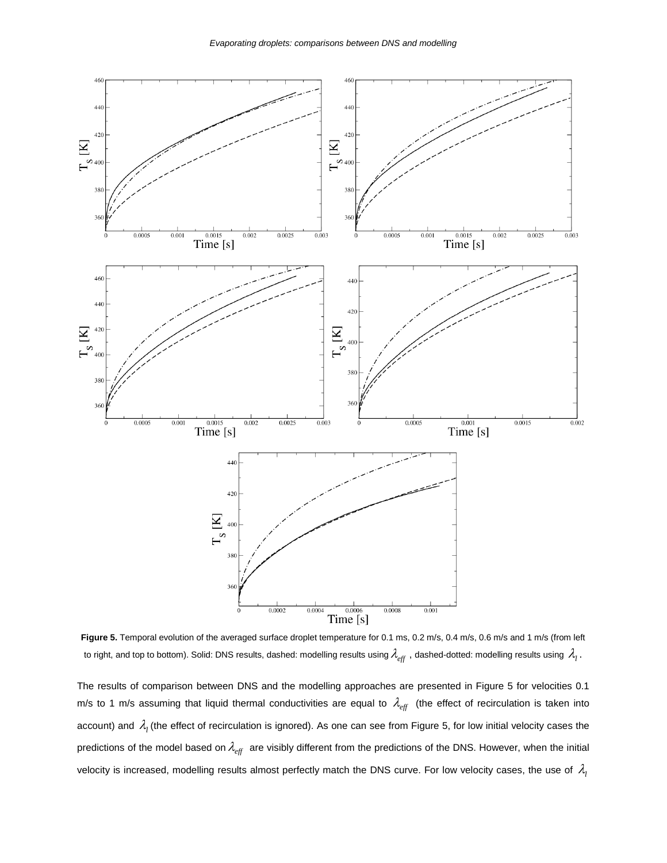

**Figure 5.** Temporal evolution of the averaged surface droplet temperature for 0.1 ms, 0.2 m/s, 0.4 m/s, 0.6 m/s and 1 m/s (from left to right, and top to bottom). Solid: DNS results, dashed: modelling results using  $\lambda_{e\!f\!f}$  , dashed-dotted: modelling results using  $\lambda_{\!f}$  .

The results of comparison between DNS and the modelling approaches are presented in Figure 5 for velocities 0.1 m/s to 1 m/s assuming that liquid thermal conductivities are equal to  $\lambda_{eff}$  (the effect of recirculation is taken into account) and  $\lambda_l$  (the effect of recirculation is ignored). As one can see from Figure 5, for low initial velocity cases the predictions of the model based on  $\lambda_{\text{eff}}$  are visibly different from the predictions of the DNS. However, when the initial velocity is increased, modelling results almost perfectly match the DNS curve. For low velocity cases, the use of  $\lambda_l$